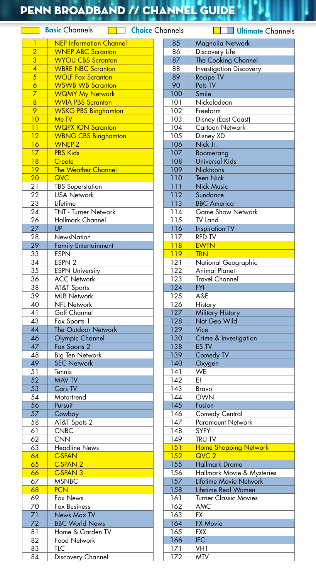## PENN BROADBAND // Channel Guide

Basic Channels **Choice** Channels Channels Channels Channels

| 1               | <b>NEP Information Channel</b>                  |
|-----------------|-------------------------------------------------|
| $\overline{2}$  | <b>WNEP ABC Scranton</b>                        |
| 3               | <b>WYOU CBS Scranton</b>                        |
| $\overline{4}$  | <b>WBRE NBC Scranton</b>                        |
| 5               | <b>WOLF Fox Scranton</b>                        |
| $\overline{6}$  | <b>WSWB WB Scranton</b>                         |
| 7               | <b>WQMY My Network</b>                          |
| 8               | <b>WVIA PBS Scranton</b>                        |
| 9               | <b>WSKG PBS Binghamton</b>                      |
| 10              | Me-TV                                           |
| 11              | <b>WQPX ION Scranton</b>                        |
| $\overline{12}$ | <b>WBNG CBS Binghamton</b>                      |
| 16              | <b>WNEP-2</b>                                   |
| 17              | <b>PBS Kids</b>                                 |
| 18              | Create                                          |
| 19              | <b>The Weather Channel</b>                      |
| 20              | QVC                                             |
|                 |                                                 |
| 21<br>22        | <b>TBS Superstation</b><br><b>USA Network</b>   |
| 23              |                                                 |
|                 | Lifetime                                        |
| 24              | <b>TNT - Turner Network</b><br>Hallmark Channel |
| 26              |                                                 |
| 27              | <b>UP</b>                                       |
| 28<br>29        | <b>NewsNation</b>                               |
|                 | <b>Family Entertainment</b>                     |
| 33              | <b>ESPN</b>                                     |
| 34              | ESPN <sub>2</sub>                               |
| 35              | <b>ESPN University</b>                          |
| 36              | <b>ACC Network</b>                              |
| 38              | AT&T Sports                                     |
| 39              | <b>MLB Network</b>                              |
| 40              | <b>NFL Network</b>                              |
| 41              | Golf Channel                                    |
| 43              | Fox Sports 1                                    |
| 44              | The Outdoor Network                             |
| 46              | Olympic Channel                                 |
| 47              | Fox Sports 2                                    |
| 48              | Big Ten Network                                 |
| 49              | <b>SEC Network</b>                              |
| 51              | Tennis                                          |
| 52              | <b>MAV TV</b>                                   |
| 53              | Cars TV                                         |
| 54              | Motortrend                                      |
| 56              | Pursuit                                         |
| 57              | Cowboy                                          |
| 58              | AT&T Spots 2                                    |
| 61              | <b>CNBC</b>                                     |
| 62<br>63        | <b>CNN</b>                                      |
|                 | <b>Headline News</b>                            |
| 64              | <b>C-SPAN</b><br>C-SPAN 2                       |
| 65              |                                                 |
| 66              | C-SPAN 3                                        |
| 67              | <b>MSNBC</b>                                    |
| 68              | <b>PCN</b>                                      |
| 69              | Fox News                                        |
| 70              | Fox Business                                    |
| 71              | News Max TV                                     |
| 72              | <b>BBC World News</b>                           |
| 81              | Home & Garden TV                                |
| 82              | Food Network                                    |
| 83              | TLC                                             |
| 84              | Discovery Channel                               |

| 85  | Magnolia Network               |
|-----|--------------------------------|
| 86  | Discovery Life                 |
| 87  | The Cooking Channel            |
| 88  | <b>Investigation Discovery</b> |
| 89  | <b>Recipe TV</b>               |
| 90  | Pets TV                        |
| 100 | Smile                          |
|     | Nickelodeon                    |
| 101 |                                |
| 102 | Freeform                       |
| 103 | Disney (East Coast)            |
| 104 | Cartoon Network                |
| 105 | Disney XD                      |
| 106 | Nick Jr.                       |
| 107 | <b>Boomerang</b>               |
| 108 | <b>Universal Kids</b>          |
| 109 | <b>Nicktoons</b>               |
| 110 | <b>Teen Nick</b>               |
| 111 | <b>Nick Music</b>              |
| 112 | Sundance                       |
| 113 | <b>BBC</b> America             |
| 114 | <b>Game Show Network</b>       |
| 115 | TV Land                        |
| 116 | <b>Inspiration TV</b>          |
| 117 | RFD TV                         |
| 118 | <b>EWTN</b>                    |
| 119 | <b>TBN</b>                     |
|     |                                |
| 121 | National Geographic            |
| 122 | <b>Animal Planet</b>           |
| 123 | <b>Travel Channel</b>          |
| 124 | <b>FYI</b>                     |
| 125 | A&E                            |
| 126 | History                        |
| 127 | <b>Military History</b>        |
| 128 | Nat Geo Wild                   |
| 129 | Vice                           |
| 130 | Crime & Investigation          |
| 138 | ES.TV                          |
| 139 | Comedy TV                      |
| 140 | Oxygen                         |
| 141 | WE                             |
| 142 | E!                             |
| 143 | Bravo                          |
| 144 | <b>OWN</b>                     |
| 145 | Fusion                         |
| 146 | <b>Comedy Central</b>          |
| 147 | Paramount Network              |
| 148 | <b>SYFY</b>                    |
| 149 | tru tv                         |
| 151 | <b>Home Shopping Network</b>   |
| 152 | QVC <sub>2</sub>               |
| 155 | <b>Hallmark Drama</b>          |
| 156 | Hallmark Movie & Mysteries     |
| 157 | Lifetime Movie Network         |
| 158 | Lifetime Real Women            |
|     |                                |
| 161 | <b>Turner Classic Movies</b>   |
| 162 | AMC                            |
| 163 | FX.                            |
| 164 | <b>FX Movie</b>                |
| 165 | <b>FXX</b>                     |
| 166 | <b>IFC</b>                     |
| 171 | VH1                            |
| 172 | <b>MTV</b>                     |